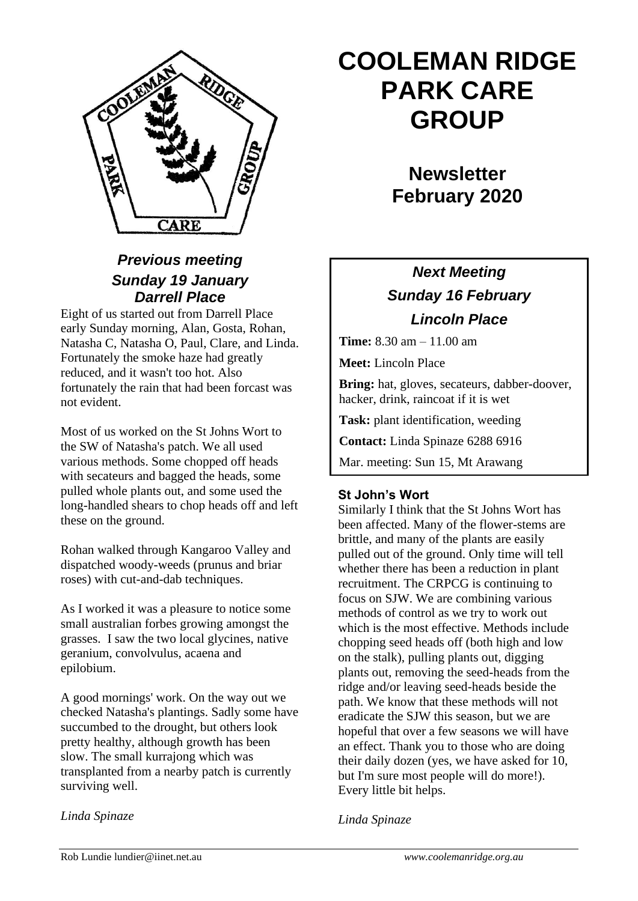

## *Previous meeting Sunday 19 January Darrell Place*

Eight of us started out from Darrell Place early Sunday morning, Alan, Gosta, Rohan, Natasha C, Natasha O, Paul, Clare, and Linda. Fortunately the smoke haze had greatly reduced, and it wasn't too hot. Also fortunately the rain that had been forcast was not evident.

Most of us worked on the St Johns Wort to the SW of Natasha's patch. We all used various methods. Some chopped off heads with secateurs and bagged the heads, some pulled whole plants out, and some used the long-handled shears to chop heads off and left these on the ground.

Rohan walked through Kangaroo Valley and dispatched woody-weeds (prunus and briar roses) with cut-and-dab techniques.

As I worked it was a pleasure to notice some small australian forbes growing amongst the grasses. I saw the two local glycines, native geranium, convolvulus, acaena and epilobium.

A good mornings' work. On the way out we checked Natasha's plantings. Sadly some have succumbed to the drought, but others look pretty healthy, although growth has been slow. The small kurrajong which was transplanted from a nearby patch is currently surviving well.

#### *Linda Spinaze*

# **COOLEMAN RIDGE PARK CARE GROUP**

**Newsletter February 2020** 

# *Next Meeting Sunday 16 February Lincoln Place*

**Time:** 8.30 am – 11.00 am

**Meet:** Lincoln Place

**Bring:** hat, gloves, secateurs, dabber-doover, hacker, drink, raincoat if it is wet

**Task:** plant identification, weeding

**Contact:** Linda Spinaze 6288 6916

Mar. meeting: Sun 15, Mt Arawang

#### **St John's Wort**

Similarly I think that the St Johns Wort has been affected. Many of the flower-stems are brittle, and many of the plants are easily pulled out of the ground. Only time will tell whether there has been a reduction in plant recruitment. The CRPCG is continuing to focus on SJW. We are combining various methods of control as we try to work out which is the most effective. Methods include chopping seed heads off (both high and low on the stalk), pulling plants out, digging plants out, removing the seed-heads from the ridge and/or leaving seed-heads beside the path. We know that these methods will not eradicate the SJW this season, but we are hopeful that over a few seasons we will have an effect. Thank you to those who are doing their daily dozen (yes, we have asked for 10, but I'm sure most people will do more!). Every little bit helps.

*Linda Spinaze*